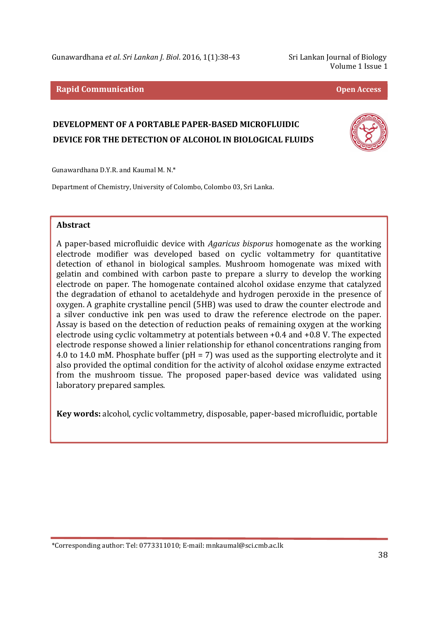Gunawardhana *et al*. *Sri Lankan J. Biol*. 2016, 1(1):38-43 Sri Lankan Journal of Biology

Volume 1 Issue 1

#### **Rapid Communication Open Access**

# **DEVELOPMENT OF A PORTABLE PAPER-BASED MICROFLUIDIC DEVICE FOR THE DETECTION OF ALCOHOL IN BIOLOGICAL FLUIDS**



Gunawardhana D.Y.R. and Kaumal M. N.\*

Department of Chemistry, University of Colombo, Colombo 03, Sri Lanka.

# **Abstract**

j

A paper-based microfluidic device with *Agaricus bisporus* homogenate as the working electrode modifier was developed based on cyclic voltammetry for quantitative detection of ethanol in biological samples. Mushroom homogenate was mixed with gelatin and combined with carbon paste to prepare a slurry to develop the working electrode on paper. The homogenate contained alcohol oxidase enzyme that catalyzed the degradation of ethanol to acetaldehyde and hydrogen peroxide in the presence of oxygen. A graphite crystalline pencil (5HB) was used to draw the counter electrode and a silver conductive ink pen was used to draw the reference electrode on the paper. Assay is based on the detection of reduction peaks of remaining oxygen at the working electrode using cyclic voltammetry at potentials between +0.4 and +0.8 V. The expected electrode response showed a linier relationship for ethanol concentrations ranging from 4.0 to 14.0 mM. Phosphate buffer (pH = 7) was used as the supporting electrolyte and it also provided the optimal condition for the activity of alcohol oxidase enzyme extracted from the mushroom tissue. The proposed paper-based device was validated using laboratory prepared samples.

**Key words:** alcohol, cyclic voltammetry, disposable, paper-based microfluidic, portable

\*Corresponding author: Tel: 0773311010; E-mail: mnkaumal@sci.cmb.ac.lk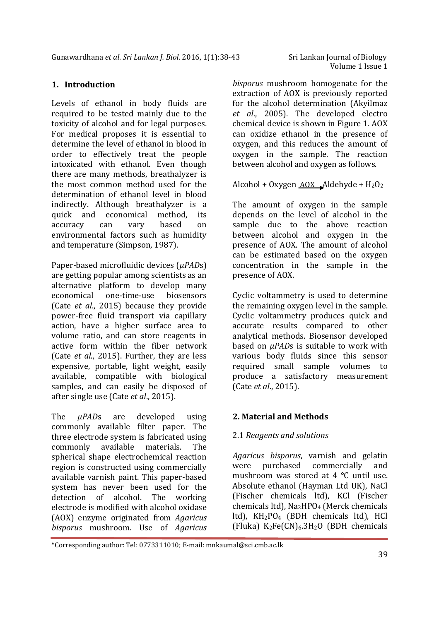# **1. Introduction**

Levels of ethanol in body fluids are required to be tested mainly due to the toxicity of alcohol and for legal purposes. For medical proposes it is essential to determine the level of ethanol in blood in order to effectively treat the people intoxicated with ethanol. Even though there are many methods, breathalyzer is the most common method used for the determination of ethanol level in blood indirectly. Although breathalyzer is a quick and economical method, its accuracy can vary based on environmental factors such as humidity and temperature (Simpson, 1987).

Paper-based microfluidic devices (*µPAD*s) are getting popular among scientists as an alternative platform to develop many economical one-time-use biosensors (Cate *et al*., 2015) because they provide power-free fluid transport via capillary action, have a higher surface area to volume ratio, and can store reagents in active form within the fiber network (Cate *et al*., 2015). Further, they are less expensive, portable, light weight, easily available, compatible with biological samples, and can easily be disposed of after single use (Cate *et al*., 2015).

The *µPAD*s are developed using commonly available filter paper. The three electrode system is fabricated using commonly available materials. The spherical shape electrochemical reaction region is constructed using commercially available varnish paint. This paper-based system has never been used for the detection of alcohol. The working electrode is modified with alcohol oxidase (AOX) enzyme originated from *Agaricus bisporus* mushroom. Use of *Agaricus* 

*bisporus* mushroom homogenate for the extraction of AOX is previously reported for the alcohol determination (Akyilmaz *et al*., 2005). The developed electro chemical device is shown in Figure 1. AOX can oxidize ethanol in the presence of oxygen, and this reduces the amount of oxygen in the sample. The reaction between alcohol and oxygen as follows.

Alcohol + Oxygen  $AOX$   $A$ ldehyde +  $H_2O_2$ 

The amount of oxygen in the sample depends on the level of alcohol in the sample due to the above reaction between alcohol and oxygen in the presence of AOX. The amount of alcohol can be estimated based on the oxygen concentration in the sample in the presence of AOX.

Cyclic voltammetry is used to determine the remaining oxygen level in the sample. Cyclic voltammetry produces quick and accurate results compared to other analytical methods. Biosensor developed based on *µPAD*s is suitable to work with various body fluids since this sensor required small sample volumes to produce a satisfactory measurement (Cate *et al*., 2015).

# **2. Material and Methods**

#### 2.1 *Reagents and solutions*

*Agaricus bisporus*, varnish and gelatin were purchased commercially and mushroom was stored at 4 °C until use. Absolute ethanol (Hayman Ltd UK), NaCl (Fischer chemicals ltd), KCl (Fischer chemicals ltd), Na2HPO4 (Merck chemicals ltd), KH2PO4 (BDH chemicals ltd), HCl (Fluka)  $K_2Fe(CN)_6.3H_2O$  (BDH chemicals

j \*Corresponding author: Tel: 0773311010; E-mail: mnkaumal@sci.cmb.ac.lk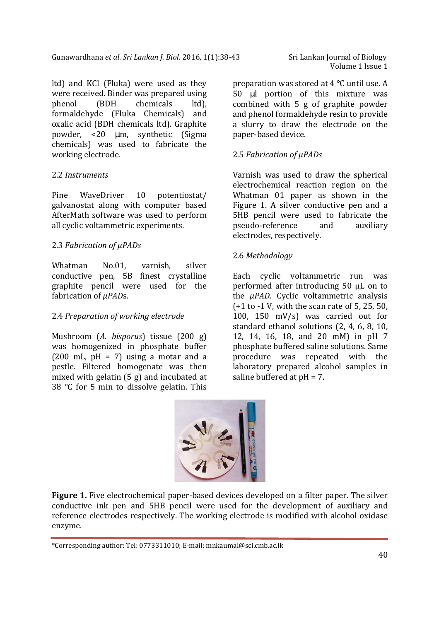ltd) and KCl (Fluka) were used as they were received. Binder was prepared using phenol (BDH chemicals ltd), formaldehyde (Fluka Chemicals) and oxalic acid (BDH chemicals ltd). Graphite powder, <20 µm, synthetic (Sigma chemicals) was used to fabricate the working electrode.

# 2.2 *Instruments*

j

Pine WaveDriver 10 potentiostat/ galvanostat along with computer based AfterMath software was used to perform all cyclic voltammetric experiments.

# 2.3 *Fabrication of µPADs*

Whatman No.01, varnish, silver conductive pen, 5B finest crystalline graphite pencil were used for the fabrication of *µPAD*s.

# 2.4 *Preparation of working electrode*

Mushroom (*A. bisporus*) tissue (200 g) was homogenized in phosphate buffer  $(200 \text{ mL}, \text{pH} = 7)$  using a motar and a pestle. Filtered homogenate was then mixed with gelatin (5 g) and incubated at 38 °C for 5 min to dissolve gelatin. This

Volume 1 Issue 1

preparation was stored at 4 °C until use. A 50 µl portion of this mixture was combined with 5 g of graphite powder and phenol formaldehyde resin to provide a slurry to draw the electrode on the paper-based device.

# 2.5 *Fabrication of µPADs*

Varnish was used to draw the spherical electrochemical reaction region on the Whatman 01 paper as shown in the Figure 1. A silver conductive pen and a 5HB pencil were used to fabricate the pseudo-reference and auxiliary electrodes, respectively.

# 2.6 *Methodology*

Each cyclic voltammetric run was performed after introducing 50 μL on to the *µPAD*. Cyclic voltammetric analysis (+1 to -1 V, with the scan rate of 5, 25, 50, 100, 150 mV/s) was carried out for standard ethanol solutions (2, 4, 6, 8, 10, 12, 14, 16, 18, and 20 mM) in pH 7 phosphate buffered saline solutions. Same procedure was repeated with the laboratory prepared alcohol samples in saline buffered at pH = 7.



**Figure 1.** Five electrochemical paper-based devices developed on a filter paper. The silver conductive ink pen and 5HB pencil were used for the development of auxiliary and reference electrodes respectively. The working electrode is modified with alcohol oxidase enzyme.

<sup>\*</sup>Corresponding author: Tel: 0773311010; E-mail: mnkaumal@sci.cmb.ac.lk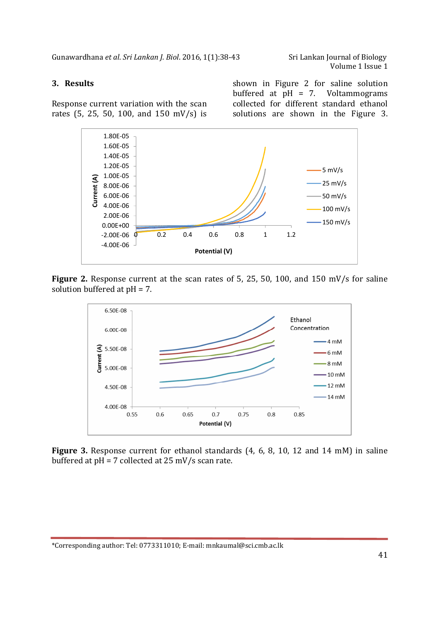Gunawardhana *et al*. *Sri Lankan J. Biol*. 2016, 1(1):38-43 Sri Lankan Journal of Biology

# **3. Results**

j

Response current variation with the scan rates (5, 25, 50, 100, and 150 mV/s) is



shown in Figure 2 for saline solution buffered at pH = 7. Voltammograms collected for different standard ethanol solutions are shown in the Figure 3.



**Figure 2.** Response current at the scan rates of 5, 25, 50, 100, and 150 mV/s for saline solution buffered at pH = 7.



**Figure 3.** Response current for ethanol standards (4, 6, 8, 10, 12 and 14 mM) in saline buffered at pH = 7 collected at 25 mV/s scan rate.

\*Corresponding author: Tel: 0773311010; E-mail: mnkaumal@sci.cmb.ac.lk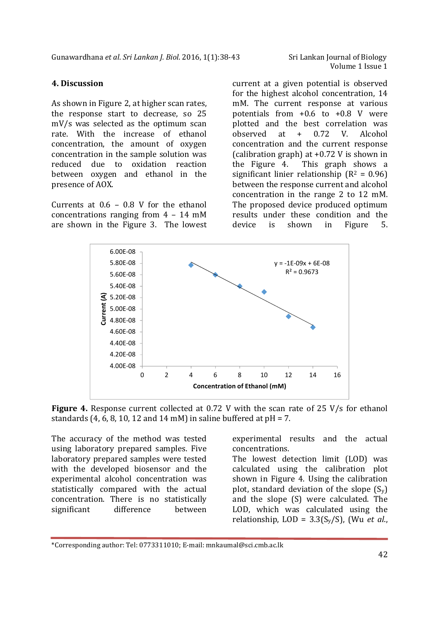Volume 1 Issue 1

# **4. Discussion**

As shown in Figure 2, at higher scan rates, the response start to decrease, so 25 mV/s was selected as the optimum scan rate. With the increase of ethanol concentration, the amount of oxygen concentration in the sample solution was reduced due to oxidation reaction between oxygen and ethanol in the presence of AOX.

Currents at  $0.6 - 0.8$  V for the ethanol concentrations ranging from 4 – 14 mM are shown in the Figure 3. The lowest

current at a given potential is observed for the highest alcohol concentration, 14 mM. The current response at various potentials from  $+0.6$  to  $+0.8$  V were plotted and the best correlation was observed at + 0.72 V. Alcohol concentration and the current response (calibration graph) at +0.72 V is shown in the Figure 4. This graph shows a significant linier relationship  $(R^2 = 0.96)$ between the response current and alcohol concentration in the range 2 to 12 mM. The proposed device produced optimum results under these condition and the device is shown in Figure 5.



**Figure 4.** Response current collected at 0.72 V with the scan rate of 25 V/s for ethanol standards  $(4, 6, 8, 10, 12, \text{ and } 14 \text{ mM})$  in saline buffered at  $pH = 7$ .

The accuracy of the method was tested using laboratory prepared samples. Five laboratory prepared samples were tested with the developed biosensor and the experimental alcohol concentration was statistically compared with the actual concentration. There is no statistically significant difference between

j

experimental results and the actual concentrations.

The lowest detection limit (LOD) was calculated using the calibration plot shown in Figure 4. Using the calibration plot, standard deviation of the slope  $(S_v)$ and the slope (S) were calculated. The LOD, which was calculated using the relationship, LOD = 3.3(Sy/S), (Wu *et al*.,

<sup>\*</sup>Corresponding author: Tel: 0773311010; E-mail: mnkaumal@sci.cmb.ac.lk